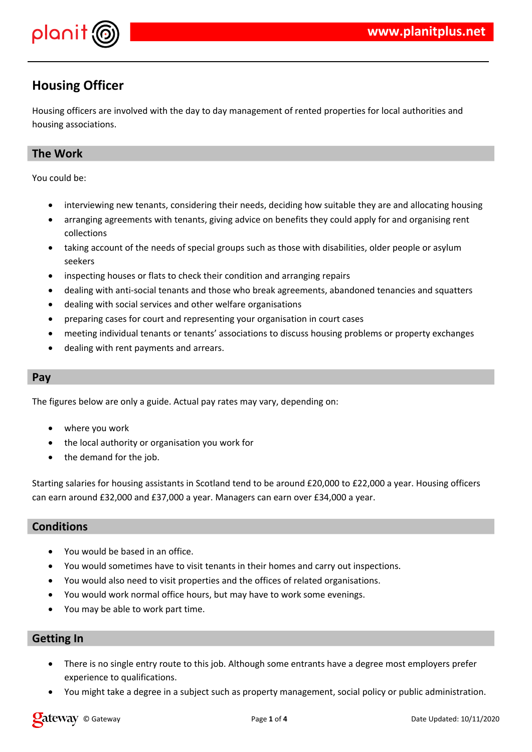

## **Housing Officer**

Housing officers are involved with the day to day management of rented properties for local authorities and housing associations.

## **The Work**

You could be:

- interviewing new tenants, considering their needs, deciding how suitable they are and allocating housing
- arranging agreements with tenants, giving advice on benefits they could apply for and organising rent collections
- taking account of the needs of special groups such as those with disabilities, older people or asylum seekers
- inspecting houses or flats to check their condition and arranging repairs
- dealing with anti-social tenants and those who break agreements, abandoned tenancies and squatters
- dealing with social services and other welfare organisations
- preparing cases for court and representing your organisation in court cases
- meeting individual tenants or tenants' associations to discuss housing problems or property exchanges
- dealing with rent payments and arrears.

## **Pay**

The figures below are only a guide. Actual pay rates may vary, depending on:

- where you work
- the local authority or organisation you work for
- the demand for the job.

Starting salaries for housing assistants in Scotland tend to be around £20,000 to £22,000 a year. Housing officers can earn around £32,000 and £37,000 a year. Managers can earn over £34,000 a year.

## **Conditions**

- You would be based in an office.
- You would sometimes have to visit tenants in their homes and carry out inspections.
- You would also need to visit properties and the offices of related organisations.
- You would work normal office hours, but may have to work some evenings.
- You may be able to work part time.

## **Getting In**

- There is no single entry route to this job. Although some entrants have a degree most employers prefer experience to qualifications.
- You might take a degree in a subject such as property management, social policy or public administration.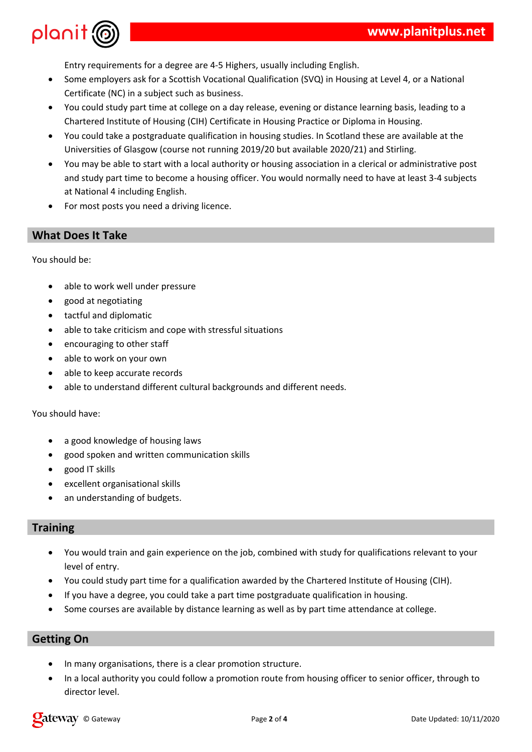

Entry requirements for a degree are 4-5 Highers, usually including English.

- Some employers ask for a Scottish Vocational Qualification (SVQ) in Housing at Level 4, or a National Certificate (NC) in a subject such as business.
- You could study part time at college on a day release, evening or distance learning basis, leading to a Chartered Institute of Housing (CIH) Certificate in Housing Practice or Diploma in Housing.
- You could take a postgraduate qualification in housing studies. In Scotland these are available at the Universities of Glasgow (course not running 2019/20 but available 2020/21) and Stirling.
- You may be able to start with a local authority or housing association in a clerical or administrative post and study part time to become a housing officer. You would normally need to have at least 3-4 subjects at National 4 including English.
- For most posts you need a driving licence.

## **What Does It Take**

You should be:

- able to work well under pressure
- good at negotiating
- tactful and diplomatic
- able to take criticism and cope with stressful situations
- encouraging to other staff
- able to work on your own
- able to keep accurate records
- able to understand different cultural backgrounds and different needs.

#### You should have:

- a good knowledge of housing laws
- good spoken and written communication skills
- good IT skills
- excellent organisational skills
- an understanding of budgets.

## **Training**

- You would train and gain experience on the job, combined with study for qualifications relevant to your level of entry.
- You could study part time for a qualification awarded by the Chartered Institute of Housing (CIH).
- If you have a degree, you could take a part time postgraduate qualification in housing.
- Some courses are available by distance learning as well as by part time attendance at college.

## **Getting On**

- In many organisations, there is a clear promotion structure.
- In a local authority you could follow a promotion route from housing officer to senior officer, through to director level.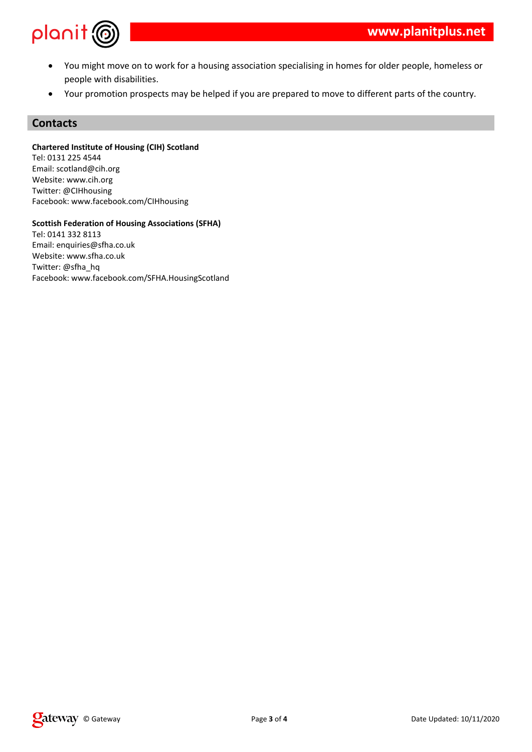

- You might move on to work for a housing association specialising in homes for older people, homeless or people with disabilities.
- Your promotion prospects may be helped if you are prepared to move to different parts of the country.

### **Contacts**

**Chartered Institute of Housing (CIH) Scotland**

Tel: 0131 225 4544 Email: scotland@cih.org Website: www.cih.org Twitter: @CIHhousing Facebook: www.facebook.com/CIHhousing

**Scottish Federation of Housing Associations (SFHA)**

Tel: 0141 332 8113 Email: enquiries@sfha.co.uk Website: www.sfha.co.uk Twitter: @sfha\_hq Facebook: www.facebook.com/SFHA.HousingScotland